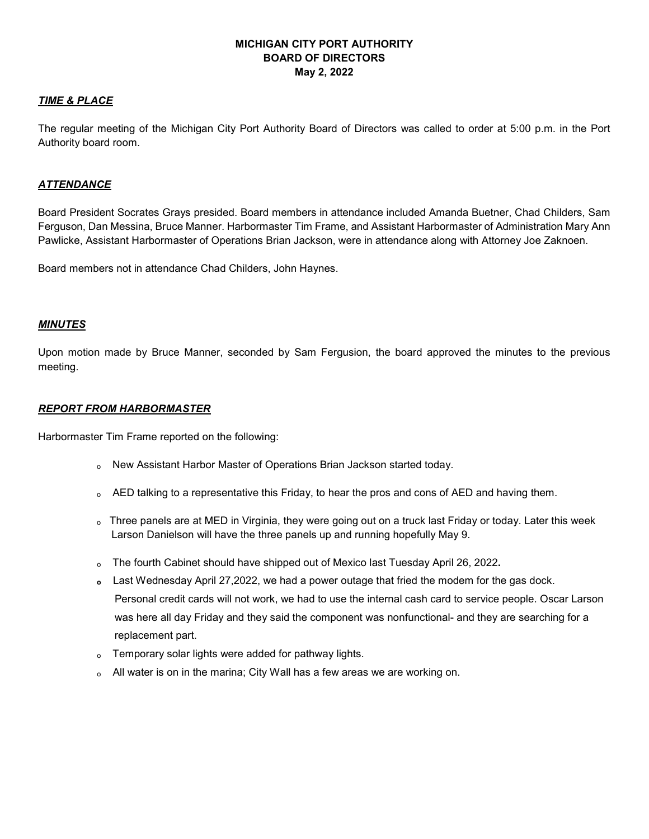# **MICHIGAN CITY PORT AUTHORITY BOARD OF DIRECTORS May 2, 2022**

#### *TIME & PLACE*

The regular meeting of the Michigan City Port Authority Board of Directors was called to order at 5:00 p.m. in the Port Authority board room.

#### *ATTENDANCE*

Board President Socrates Grays presided. Board members in attendance included Amanda Buetner, Chad Childers, Sam Ferguson, Dan Messina, Bruce Manner. Harbormaster Tim Frame, and Assistant Harbormaster of Administration Mary Ann Pawlicke, Assistant Harbormaster of Operations Brian Jackson, were in attendance along with Attorney Joe Zaknoen.

Board members not in attendance Chad Childers, John Haynes.

#### *MINUTES*

Upon motion made by Bruce Manner, seconded by Sam Fergusion, the board approved the minutes to the previous meeting.

#### *REPORT FROM HARBORMASTER*

Harbormaster Tim Frame reported on the following:

- ₒ New Assistant Harbor Master of Operations Brian Jackson started today.
- ₒ AED talking to a representative this Friday, to hear the pros and cons of AED and having them.
- ₒ Three panels are at MED in Virginia, they were going out on a truck last Friday or today. Later this week Larson Danielson will have the three panels up and running hopefully May 9.
- ₒ The fourth Cabinet should have shipped out of Mexico last Tuesday April 26, 2022**.**
- **Last Wednesday April 27,2022, we had a power outage that fried the modem for the gas dock.**  Personal credit cards will not work, we had to use the internal cash card to service people. Oscar Larson was here all day Friday and they said the component was nonfunctional- and they are searching for a replacement part.
- ₒ Temporary solar lights were added for pathway lights.
- ₒ All water is on in the marina; City Wall has a few areas we are working on.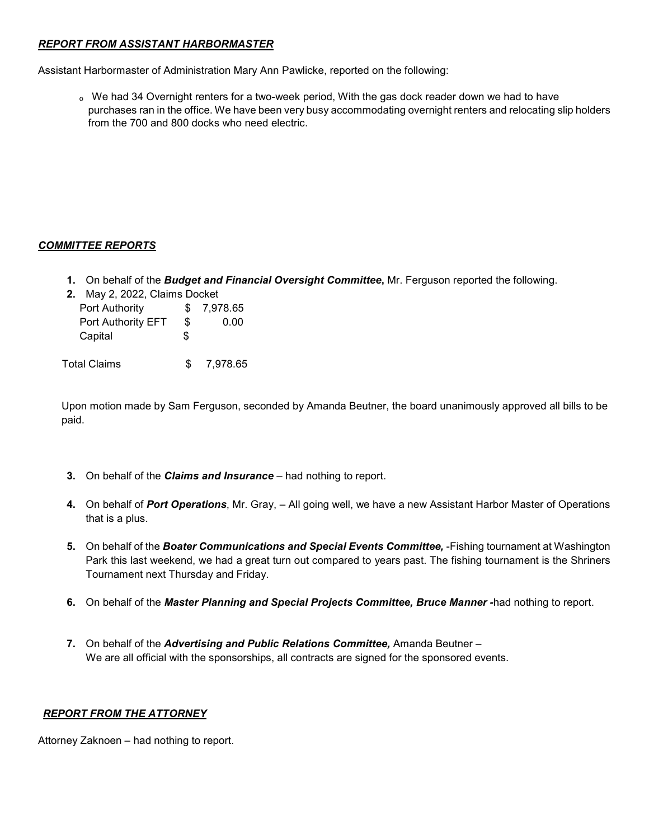# *REPORT FROM ASSISTANT HARBORMASTER*

Assistant Harbormaster of Administration Mary Ann Pawlicke, reported on the following:

 ₒ We had 34 Overnight renters for a two-week period, With the gas dock reader down we had to have purchases ran in the office. We have been very busy accommodating overnight renters and relocating slip holders from the 700 and 800 docks who need electric.

## *COMMITTEE REPORTS*

- **1.** On behalf of the *Budget and Financial Oversight Committee***,** Mr. Ferguson reported the following.
- **2.** May 2, 2022, Claims Docket

| Port Authority     | S.  | 7,978.65 |
|--------------------|-----|----------|
| Port Authority EFT | SS. | 0.00     |
| Capital            | S   |          |

Total Claims \$ 7,978.65

 Upon motion made by Sam Ferguson, seconded by Amanda Beutner, the board unanimously approved all bills to be paid.

- **3.** On behalf of the *Claims and Insurance* had nothing to report.
- **4.** On behalf of *Port Operations*, Mr. Gray, All going well, we have a new Assistant Harbor Master of Operations that is a plus.
- **5.** On behalf of the *Boater Communications and Special Events Committee,* -Fishing tournament at Washington Park this last weekend, we had a great turn out compared to years past. The fishing tournament is the Shriners Tournament next Thursday and Friday.
- **6.** On behalf of the *Master Planning and Special Projects Committee, Bruce Manner -*had nothing to report.
- **7.** On behalf of the *Advertising and Public Relations Committee,* Amanda Beutner We are all official with the sponsorships, all contracts are signed for the sponsored events.

## *REPORT FROM THE ATTORNEY*

Attorney Zaknoen – had nothing to report.